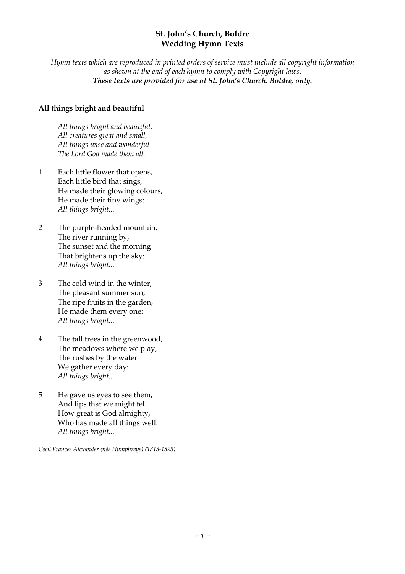# **St. John's Church, Boldre Wedding Hymn Texts**

*Hymn texts which are reproduced in printed orders of service must include all copyright information as shown at the end of each hymn to comply with Copyright laws. These texts are provided for use at St. John's Church, Boldre, only.* 

# **All things bright and beautiful**

*All things bright and beautiful, All creatures great and small, All things wise and wonderful The Lord God made them all.*

- 1 Each little flower that opens, Each little bird that sings, He made their glowing colours, He made their tiny wings: *All things bright...*
- 2 The purple-headed mountain, The river running by, The sunset and the morning That brightens up the sky: *All things bright...*
- 3 The cold wind in the winter, The pleasant summer sun, The ripe fruits in the garden, He made them every one: *All things bright...*
- 4 The tall trees in the greenwood, The meadows where we play, The rushes by the water We gather every day: *All things bright...*
- 5 He gave us eyes to see them, And lips that we might tell How great is God almighty, Who has made all things well: *All things bright...*

*Cecil Frances Alexander (née Humphreys) (1818-1895)*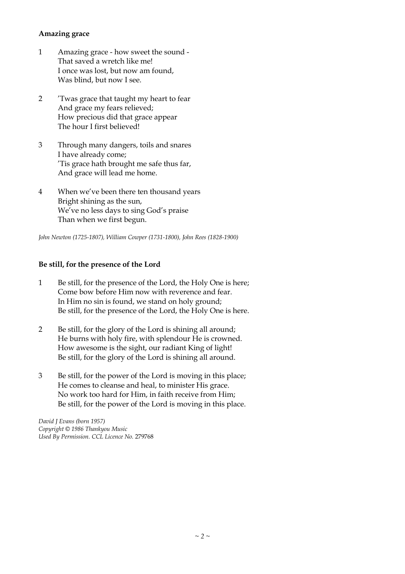### **Amazing grace**

- 1 Amazing grace how sweet the sound That saved a wretch like me! I once was lost, but now am found, Was blind, but now I see.
- 2 'Twas grace that taught my heart to fear And grace my fears relieved; How precious did that grace appear The hour I first believed!
- 3 Through many dangers, toils and snares I have already come; 'Tis grace hath brought me safe thus far, And grace will lead me home.
- 4 When we've been there ten thousand years Bright shining as the sun, We've no less days to sing God's praise Than when we first begun.

*John Newton (1725-1807), William Cowper (1731-1800), John Rees (1828-1900)*

# **Be still, for the presence of the Lord**

- 1 Be still, for the presence of the Lord, the Holy One is here; Come bow before Him now with reverence and fear. In Him no sin is found, we stand on holy ground; Be still, for the presence of the Lord, the Holy One is here.
- 2 Be still, for the glory of the Lord is shining all around; He burns with holy fire, with splendour He is crowned. How awesome is the sight, our radiant King of light! Be still, for the glory of the Lord is shining all around.
- 3 Be still, for the power of the Lord is moving in this place; He comes to cleanse and heal, to minister His grace. No work too hard for Him, in faith receive from Him; Be still, for the power of the Lord is moving in this place.

*David J Evans (born 1957) Copyright © 1986 Thankyou Music Used By Permission. CCL Licence No.* 279768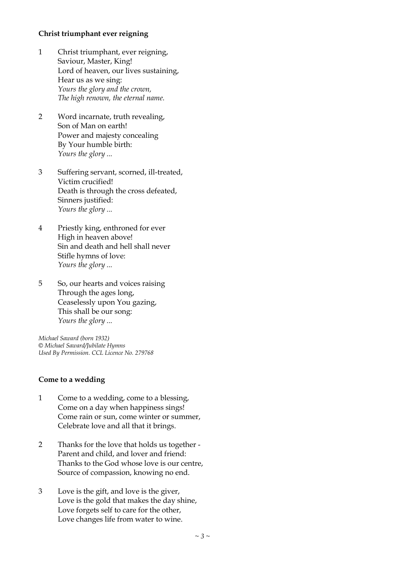### **Christ triumphant ever reigning**

- 1 Christ triumphant, ever reigning, Saviour, Master, King! Lord of heaven, our lives sustaining, Hear us as we sing: *Yours the glory and the crown, The high renown, the eternal name.*
- 2 Word incarnate, truth revealing, Son of Man on earth! Power and majesty concealing By Your humble birth:  *Yours the glory ...*
- 3 Suffering servant, scorned, ill-treated, Victim crucified! Death is through the cross defeated, Sinners justified: *Yours the glory ...*
- 4 Priestly king, enthroned for ever High in heaven above! Sin and death and hell shall never Stifle hymns of love: *Yours the glory ...*
- 5 So, our hearts and voices raising Through the ages long, Ceaselessly upon You gazing, This shall be our song: *Yours the glory ...*

*Michael Saward (born 1932) © Michael Saward/Jubilate Hymns Used By Permission. CCL Licence No. 279768* 

#### **Come to a wedding**

- 1 Come to a wedding, come to a blessing, Come on a day when happiness sings! Come rain or sun, come winter or summer, Celebrate love and all that it brings.
- 2 Thanks for the love that holds us together Parent and child, and lover and friend: Thanks to the God whose love is our centre, Source of compassion, knowing no end.
- 3 Love is the gift, and love is the giver, Love is the gold that makes the day shine, Love forgets self to care for the other, Love changes life from water to wine.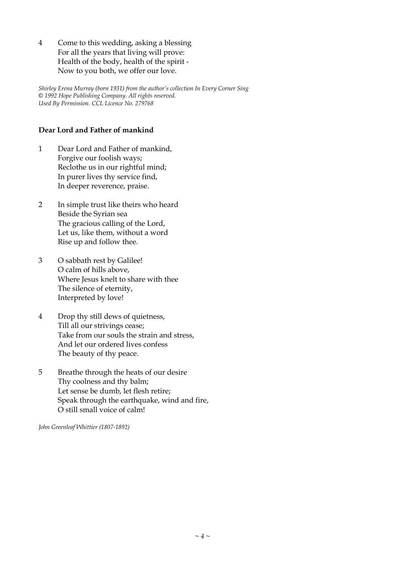4 Come to this wedding, asking a blessing For all the years that living will prove: Health of the body, health of the spirit - Now to you both, we offer our love.

*Shirley Erena Murray (born 1931) from the author's collection In Every Corner Sing © 1992 Hope Publishing Company. All rights reserved. Used By Permission. CCL Licence No. 279768* 

### **Dear Lord and Father of mankind**

- 1 Dear Lord and Father of mankind, Forgive our foolish ways; Reclothe us in our rightful mind; In purer lives thy service find, In deeper reverence, praise.
- 2 In simple trust like theirs who heard Beside the Syrian sea The gracious calling of the Lord, Let us, like them, without a word Rise up and follow thee.
- 3 O sabbath rest by Galilee! O calm of hills above, Where Jesus knelt to share with thee The silence of eternity, Interpreted by love!
- 4 Drop thy still dews of quietness, Till all our strivings cease; Take from our souls the strain and stress, And let our ordered lives confess The beauty of thy peace.
- 5 Breathe through the heats of our desire Thy coolness and thy balm; Let sense be dumb, let flesh retire; Speak through the earthquake, wind and fire, O still small voice of calm!

*John Greenleaf Whittier (1807-1892)*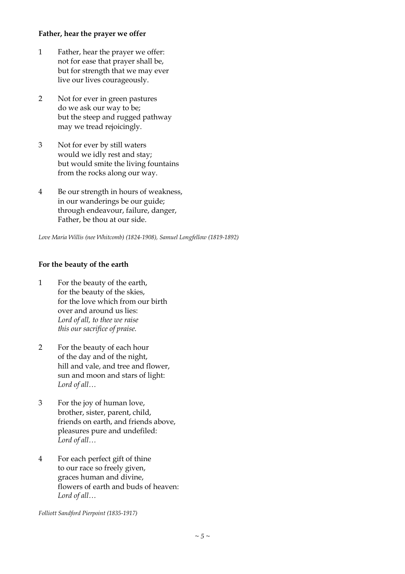#### **Father, hear the prayer we offer**

- 1 Father, hear the prayer we offer: not for ease that prayer shall be, but for strength that we may ever live our lives courageously.
- 2 Not for ever in green pastures do we ask our way to be; but the steep and rugged pathway may we tread rejoicingly.
- 3 Not for ever by still waters would we idly rest and stay; but would smite the living fountains from the rocks along our way.
- 4 Be our strength in hours of weakness, in our wanderings be our guide; through endeavour, failure, danger, Father, be thou at our side.

*Love Maria Willis (nee Whitcomb) (1824-1908), Samuel Longfellow (1819-1892)* 

#### **For the beauty of the earth**

- 1 For the beauty of the earth, for the beauty of the skies, for the love which from our birth over and around us lies:  *Lord of all, to thee we raise this our sacrifice of praise.*
- 2 For the beauty of each hour of the day and of the night, hill and vale, and tree and flower, sun and moon and stars of light:  *Lord of all…*
- 3 For the joy of human love, brother, sister, parent, child, friends on earth, and friends above, pleasures pure and undefiled:  *Lord of all…*
- 4 For each perfect gift of thine to our race so freely given, graces human and divine, flowers of earth and buds of heaven:  *Lord of all…*

*Folliott Sandford Pierpoint (1835-1917)*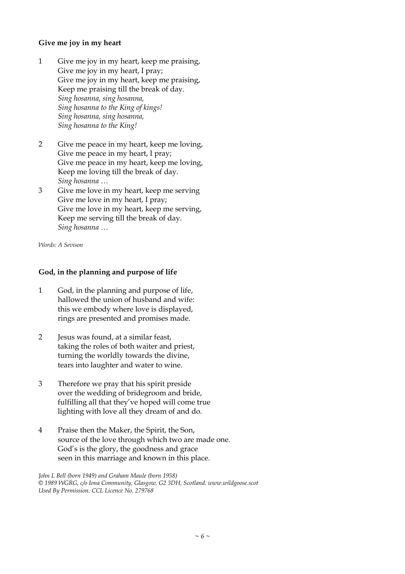#### **Give me joy in my heart**

- 1 Give me joy in my heart, keep me praising, Give me joy in my heart, I pray; Give me joy in my heart, keep me praising, Keep me praising till the break of day.  *Sing hosanna, sing hosanna, Sing hosanna to the King of kings! Sing hosanna, sing hosanna, Sing hosanna to the King!*
- 2 Give me peace in my heart, keep me loving, Give me peace in my heart, I pray; Give me peace in my heart, keep me loving, Keep me loving till the break of day.  *Sing hosanna …*
- 3 Give me love in my heart, keep me serving Give me love in my heart, I pray; Give me love in my heart, keep me serving, Keep me serving till the break of day.  *Sing hosanna …*

*Words: A Sevison* 

### **God, in the planning and purpose of life**

- 1 God, in the planning and purpose of life, hallowed the union of husband and wife: this we embody where love is displayed, rings are presented and promises made.
- 2 Jesus was found, at a similar feast, taking the roles of both waiter and priest, turning the worldly towards the divine, tears into laughter and water to wine.
- 3 Therefore we pray that his spirit preside over the wedding of bridegroom and bride, fulfilling all that they've hoped will come true lighting with love all they dream of and do.
- 4 Praise then the Maker, the Spirit, the Son, source of the love through which two are made one. God's is the glory, the goodness and grace seen in this marriage and known in this place.

*John L Bell (born 1949) and Graham Maule (born 1958) © 1989 WGRG, c/o Iona Community, Glasgow, G2 3DH, Scotland. www.wildgoose.scot Used By Permission. CCL Licence No. 279768*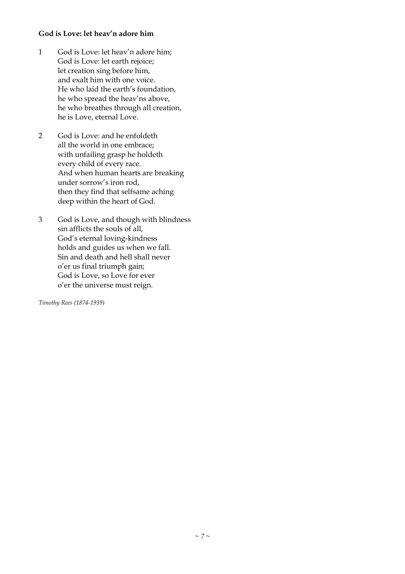### **God is Love: let heav'n adore him**

- 1 God is Love: let heav'n adore him; God is Love: let earth rejoice; let creation sing before him, and exalt him with one voice. He who laid the earth's foundation, he who spread the heav'ns above, he who breathes through all creation, he is Love, eternal Love.
- 2 God is Love: and he enfoldeth all the world in one embrace; with unfailing grasp he holdeth every child of every race. And when human hearts are breaking under sorrow's iron rod, then they find that selfsame aching deep within the heart of God.
- 3 God is Love, and though with blindness sin afflicts the souls of all, God's eternal loving-kindness holds and guides us when we fall. Sin and death and hell shall never o'er us final triumph gain; God is Love, so Love for ever o'er the universe must reign.

*Timothy Rees (1874-1939)*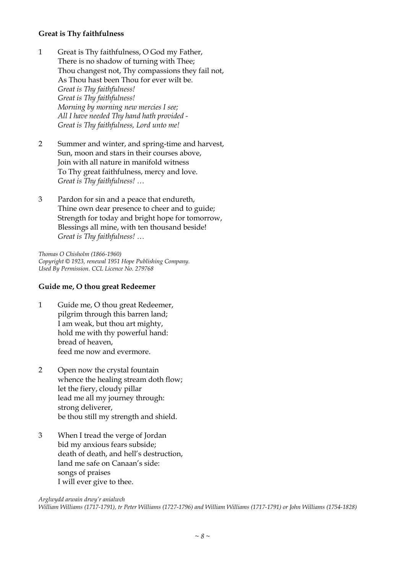### **Great is Thy faithfulness**

- 1 Great is Thy faithfulness, O God my Father, There is no shadow of turning with Thee; Thou changest not, Thy compassions they fail not, As Thou hast been Thou for ever wilt be.  *Great is Thy faithfulness! Great is Thy faithfulness! Morning by morning new mercies I see; All I have needed Thy hand hath provided - Great is Thy faithfulness, Lord unto me!*
- 2 Summer and winter, and spring-time and harvest, Sun, moon and stars in their courses above, Join with all nature in manifold witness To Thy great faithfulness, mercy and love.  *Great is Thy faithfulness! …*
- 3 Pardon for sin and a peace that endureth, Thine own dear presence to cheer and to guide; Strength for today and bright hope for tomorrow, Blessings all mine, with ten thousand beside!  *Great is Thy faithfulness! …*

*Thomas O Chisholm (1866-1960) Copyright © 1923, renewal 1951 Hope Publishing Company. Used By Permission. CCL Licence No. 279768* 

#### **Guide me, O thou great Redeemer**

- 1 Guide me, O thou great Redeemer, pilgrim through this barren land; I am weak, but thou art mighty, hold me with thy powerful hand: bread of heaven, feed me now and evermore.
- 2 Open now the crystal fountain whence the healing stream doth flow; let the fiery, cloudy pillar lead me all my journey through: strong deliverer, be thou still my strength and shield.
- 3 When I tread the verge of Jordan bid my anxious fears subside; death of death, and hell's destruction, land me safe on Canaan's side: songs of praises I will ever give to thee.

*Arglwydd arwain drwy'r anialwch William Williams (1717-1791), tr Peter Williams (1727-1796) and William Williams (1717-1791) or John Williams (1754-1828)*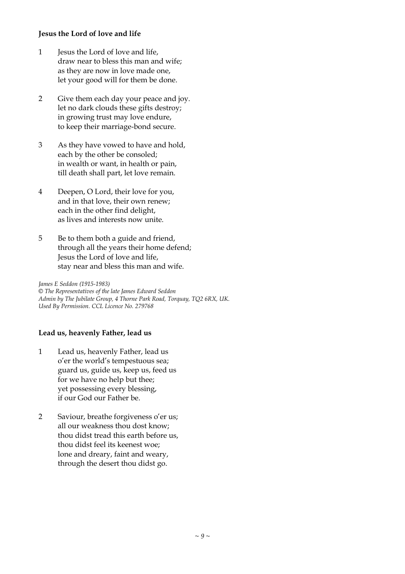### **Jesus the Lord of love and life**

- 1 Jesus the Lord of love and life, draw near to bless this man and wife; as they are now in love made one, let your good will for them be done.
- 2 Give them each day your peace and joy. let no dark clouds these gifts destroy; in growing trust may love endure, to keep their marriage-bond secure.
- 3 As they have vowed to have and hold, each by the other be consoled; in wealth or want, in health or pain, till death shall part, let love remain.
- 4 Deepen, O Lord, their love for you, and in that love, their own renew; each in the other find delight, as lives and interests now unite.
- 5 Be to them both a guide and friend, through all the years their home defend; Jesus the Lord of love and life, stay near and bless this man and wife.

*James E Seddon (1915-1983) © The Representatives of the late James Edward Seddon Admin by The Jubilate Group, 4 Thorne Park Road, Torquay, TQ2 6RX, UK. Used By Permission. CCL Licence No. 279768* 

#### **Lead us, heavenly Father, lead us**

- 1 Lead us, heavenly Father, lead us o'er the world's tempestuous sea; guard us, guide us, keep us, feed us for we have no help but thee; yet possessing every blessing, if our God our Father be.
- 2 Saviour, breathe forgiveness o'er us; all our weakness thou dost know; thou didst tread this earth before us, thou didst feel its keenest woe; lone and dreary, faint and weary, through the desert thou didst go.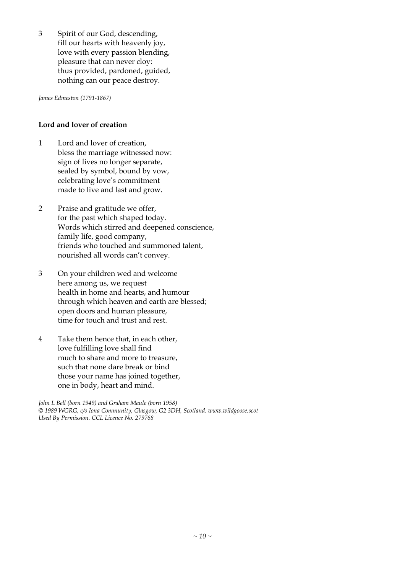3 Spirit of our God, descending, fill our hearts with heavenly joy, love with every passion blending, pleasure that can never cloy: thus provided, pardoned, guided, nothing can our peace destroy.

*James Edmeston (1791-1867)* 

### **Lord and lover of creation**

- 1 Lord and lover of creation, bless the marriage witnessed now: sign of lives no longer separate, sealed by symbol, bound by vow, celebrating love's commitment made to live and last and grow.
- 2 Praise and gratitude we offer, for the past which shaped today. Words which stirred and deepened conscience, family life, good company, friends who touched and summoned talent, nourished all words can't convey.
- 3 On your children wed and welcome here among us, we request health in home and hearts, and humour through which heaven and earth are blessed; open doors and human pleasure, time for touch and trust and rest.
- 4 Take them hence that, in each other, love fulfilling love shall find much to share and more to treasure, such that none dare break or bind those your name has joined together, one in body, heart and mind.

*John L Bell (born 1949) and Graham Maule (born 1958) © 1989 WGRG, c/o Iona Community, Glasgow, G2 3DH, Scotland. www.wildgoose.scot Used By Permission. CCL Licence No. 279768*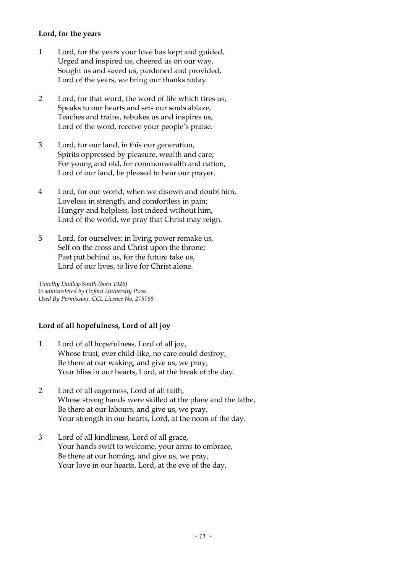# **Lord, for the years**

- 1 Lord, for the years your love has kept and guided, Urged and inspired us, cheered us on our way, Sought us and saved us, pardoned and provided, Lord of the years, we bring our thanks today.
- 2 Lord, for that word, the word of life which fires us, Speaks to our hearts and sets our souls ablaze, Teaches and trains, rebukes us and inspires us, Lord of the word, receive your people's praise.
- 3 Lord, for our land, in this our generation, Spirits oppressed by pleasure, wealth and care; For young and old, for commonwealth and nation, Lord of our land, be pleased to hear our prayer.
- 4 Lord, for our world; when we disown and doubt him, Loveless in strength, and comfortless in pain; Hungry and helpless, lost indeed without him, Lord of the world, we pray that Christ may reign.
- 5 Lord, for ourselves; in living power remake us, Self on the cross and Christ upon the throne; Past put behind us, for the future take us, Lord of our lives, to live for Christ alone.

*Timothy Dudley-Smith (born 1926) © administered by Oxford University Press Used By Permission. CCL Licence No. 279768* 

# **Lord of all hopefulness, Lord of all joy**

- 1 Lord of all hopefulness, Lord of all joy, Whose trust, ever child-like, no care could destroy, Be there at our waking, and give us, we pray, Your bliss in our hearts, Lord, at the break of the day.
- 2 Lord of all eagerness, Lord of all faith, Whose strong hands were skilled at the plane and the lathe, Be there at our labours, and give us, we pray, Your strength in our hearts, Lord, at the noon of the day.
- 3 Lord of all kindliness, Lord of all grace, Your hands swift to welcome, your arms to embrace, Be there at our homing, and give us, we pray, Your love in our hearts, Lord, at the eve of the day.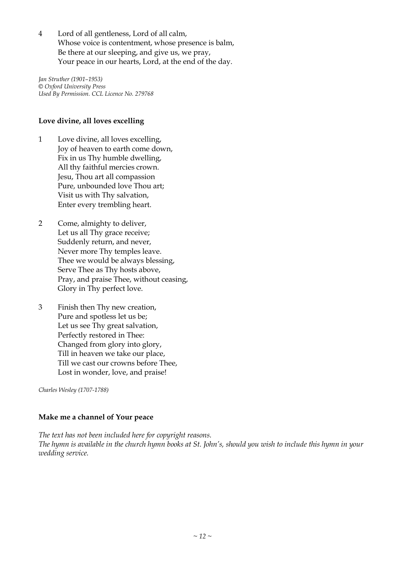4 Lord of all gentleness, Lord of all calm, Whose voice is contentment, whose presence is balm, Be there at our sleeping, and give us, we pray, Your peace in our hearts, Lord, at the end of the day.

*Jan Struther (1901–1953) © Oxford University Press Used By Permission. CCL Licence No. 279768* 

### **Love divine, all loves excelling**

- 1 Love divine, all loves excelling, Joy of heaven to earth come down, Fix in us Thy humble dwelling, All thy faithful mercies crown. Jesu, Thou art all compassion Pure, unbounded love Thou art; Visit us with Thy salvation, Enter every trembling heart.
- 2 Come, almighty to deliver, Let us all Thy grace receive; Suddenly return, and never, Never more Thy temples leave. Thee we would be always blessing, Serve Thee as Thy hosts above, Pray, and praise Thee, without ceasing, Glory in Thy perfect love.
- 3 Finish then Thy new creation, Pure and spotless let us be; Let us see Thy great salvation, Perfectly restored in Thee: Changed from glory into glory, Till in heaven we take our place, Till we cast our crowns before Thee, Lost in wonder, love, and praise!

*Charles Wesley (1707-1788)* 

# **Make me a channel of Your peace**

*The text has not been included here for copyright reasons. The hymn is available in the church hymn books at St. John's, should you wish to include this hymn in your wedding service.*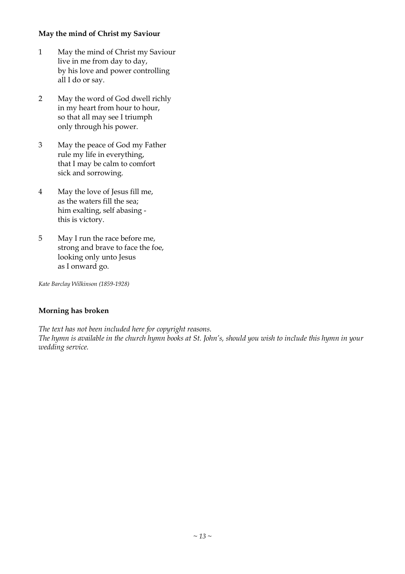# **May the mind of Christ my Saviour**

- 1 May the mind of Christ my Saviour live in me from day to day, by his love and power controlling all I do or say.
- 2 May the word of God dwell richly in my heart from hour to hour, so that all may see I triumph only through his power.
- 3 May the peace of God my Father rule my life in everything, that I may be calm to comfort sick and sorrowing.
- 4 May the love of Jesus fill me, as the waters fill the sea; him exalting, self abasing this is victory.
- 5 May I run the race before me, strong and brave to face the foe, looking only unto Jesus as I onward go.

*Kate Barclay Wilkinson (1859-1928)* 

#### **Morning has broken**

*The text has not been included here for copyright reasons. The hymn is available in the church hymn books at St. John's, should you wish to include this hymn in your wedding service.*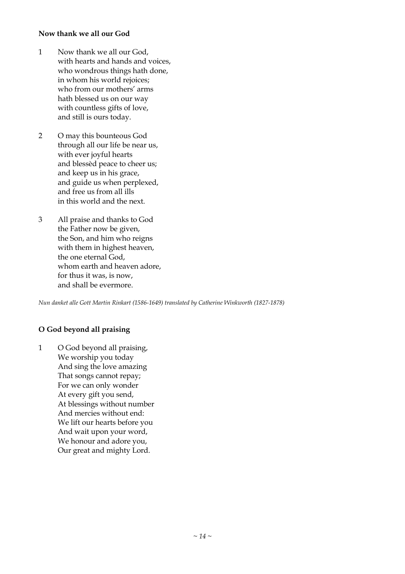### **Now thank we all our God**

- 1 Now thank we all our God, with hearts and hands and voices, who wondrous things hath done, in whom his world rejoices; who from our mothers' arms hath blessed us on our way with countless gifts of love, and still is ours today.
- 2 O may this bounteous God through all our life be near us, with ever joyful hearts and blessèd peace to cheer us; and keep us in his grace, and guide us when perplexed, and free us from all ills in this world and the next.
- 3 All praise and thanks to God the Father now be given, the Son, and him who reigns with them in highest heaven, the one eternal God, whom earth and heaven adore, for thus it was, is now, and shall be evermore.

*Nun danket alle Gott Martin Rinkart (1586-1649) translated by Catherine Winkworth (1827-1878)* 

# **O God beyond all praising**

1 O God beyond all praising, We worship you today And sing the love amazing That songs cannot repay; For we can only wonder At every gift you send, At blessings without number And mercies without end: We lift our hearts before you And wait upon your word, We honour and adore you, Our great and mighty Lord.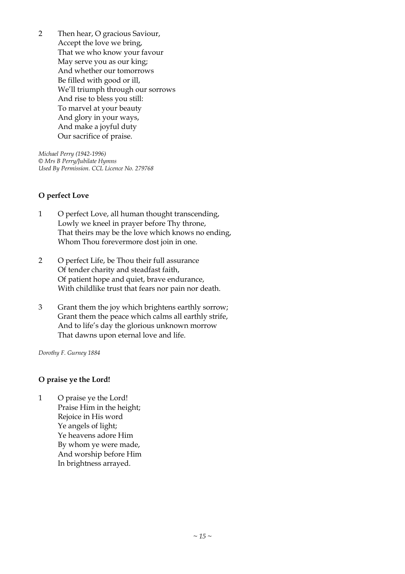2 Then hear, O gracious Saviour, Accept the love we bring, That we who know your favour May serve you as our king; And whether our tomorrows Be filled with good or ill, We'll triumph through our sorrows And rise to bless you still: To marvel at your beauty And glory in your ways, And make a joyful duty Our sacrifice of praise.

*Michael Perry (1942-1996) © Mrs B Perry/Jubilate Hymns Used By Permission. CCL Licence No. 279768* 

# **O perfect Love**

- 1 O perfect Love, all human thought transcending, Lowly we kneel in prayer before Thy throne, That theirs may be the love which knows no ending, Whom Thou forevermore dost join in one.
- 2 O perfect Life, be Thou their full assurance Of tender charity and steadfast faith, Of patient hope and quiet, brave endurance, With childlike trust that fears nor pain nor death.
- 3 Grant them the joy which brightens earthly sorrow; Grant them the peace which calms all earthly strife, And to life's day the glorious unknown morrow That dawns upon eternal love and life.

*Dorothy F. Gurney 1884* 

# **O praise ye the Lord!**

1 O praise ye the Lord! Praise Him in the height; Rejoice in His word Ye angels of light; Ye heavens adore Him By whom ye were made, And worship before Him In brightness arrayed.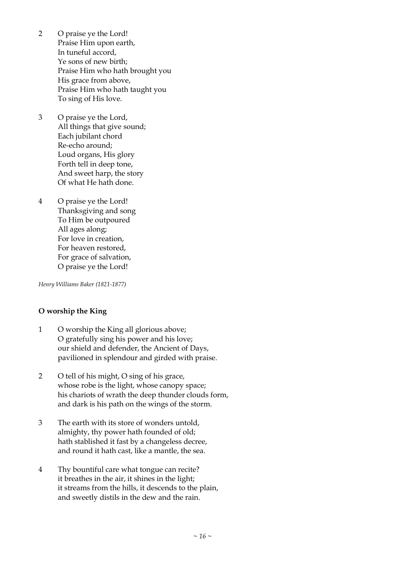- 2 O praise ye the Lord! Praise Him upon earth, In tuneful accord, Ye sons of new birth; Praise Him who hath brought you His grace from above, Praise Him who hath taught you To sing of His love.
- 3 O praise ye the Lord, All things that give sound; Each jubilant chord Re-echo around; Loud organs, His glory Forth tell in deep tone, And sweet harp, the story Of what He hath done.
- 4 O praise ye the Lord! Thanksgiving and song To Him be outpoured All ages along; For love in creation, For heaven restored, For grace of salvation, O praise ye the Lord!

*Henry Williams Baker (1821-1877)* 

# **O worship the King**

- 1 O worship the King all glorious above; O gratefully sing his power and his love; our shield and defender, the Ancient of Days, pavilioned in splendour and girded with praise.
- 2 O tell of his might, O sing of his grace, whose robe is the light, whose canopy space; his chariots of wrath the deep thunder clouds form, and dark is his path on the wings of the storm.
- 3 The earth with its store of wonders untold, almighty, thy power hath founded of old; hath stablished it fast by a changeless decree, and round it hath cast, like a mantle, the sea.
- 4 Thy bountiful care what tongue can recite? it breathes in the air, it shines in the light; it streams from the hills, it descends to the plain, and sweetly distils in the dew and the rain.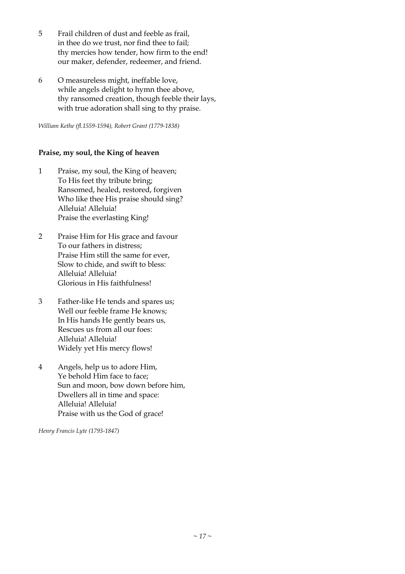- 5 Frail children of dust and feeble as frail, in thee do we trust, nor find thee to fail; thy mercies how tender, how firm to the end! our maker, defender, redeemer, and friend.
- 6 O measureless might, ineffable love, while angels delight to hymn thee above, thy ransomed creation, though feeble their lays, with true adoration shall sing to thy praise.

*William Kethe (fl.1559-1594), Robert Grant (1779-1838)* 

#### **Praise, my soul, the King of heaven**

- 1 Praise, my soul, the King of heaven; To His feet thy tribute bring; Ransomed, healed, restored, forgiven Who like thee His praise should sing? Alleluia! Alleluia! Praise the everlasting King!
- 2 Praise Him for His grace and favour To our fathers in distress; Praise Him still the same for ever, Slow to chide, and swift to bless: Alleluia! Alleluia! Glorious in His faithfulness!
- 3 Father-like He tends and spares us; Well our feeble frame He knows; In His hands He gently bears us, Rescues us from all our foes: Alleluia! Alleluia! Widely yet His mercy flows!
- 4 Angels, help us to adore Him, Ye behold Him face to face; Sun and moon, bow down before him, Dwellers all in time and space: Alleluia! Alleluia! Praise with us the God of grace!

*Henry Francis Lyte (1793-1847)*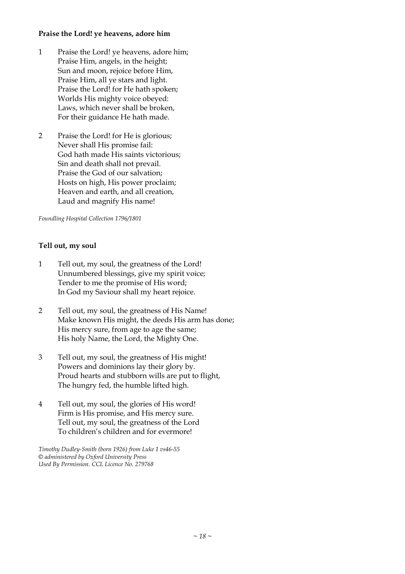### **Praise the Lord! ye heavens, adore him**

- 1 Praise the Lord! ye heavens, adore him; Praise Him, angels, in the height; Sun and moon, rejoice before Him, Praise Him, all ye stars and light. Praise the Lord! for He hath spoken; Worlds His mighty voice obeyed: Laws, which never shall be broken, For their guidance He hath made.
- 2 Praise the Lord! for He is glorious; Never shall His promise fail: God hath made His saints victorious; Sin and death shall not prevail. Praise the God of our salvation; Hosts on high, His power proclaim; Heaven and earth, and all creation, Laud and magnify His name!

*Foundling Hospital Collection 1796/1801* 

# **Tell out, my soul**

- 1 Tell out, my soul, the greatness of the Lord! Unnumbered blessings, give my spirit voice; Tender to me the promise of His word; In God my Saviour shall my heart rejoice.
- 2 Tell out, my soul, the greatness of His Name! Make known His might, the deeds His arm has done; His mercy sure, from age to age the same; His holy Name, the Lord, the Mighty One.
- 3 Tell out, my soul, the greatness of His might! Powers and dominions lay their glory by. Proud hearts and stubborn wills are put to flight, The hungry fed, the humble lifted high.
- 4 Tell out, my soul, the glories of His word! Firm is His promise, and His mercy sure. Tell out, my soul, the greatness of the Lord To children's children and for evermore!

*Timothy Dudley-Smith (born 1926) from Luke 1 vs46-55 © administered by Oxford University Press Used By Permission. CCL Licence No. 279768*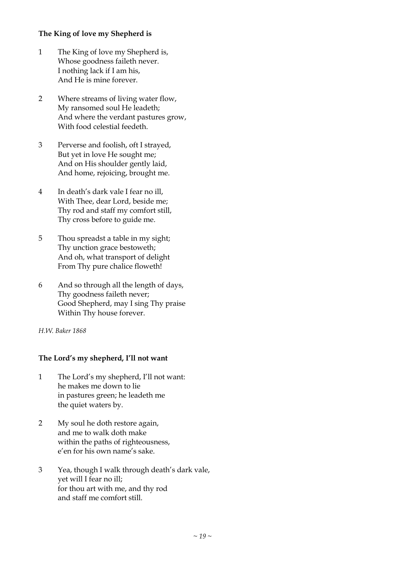# **The King of love my Shepherd is**

- 1 The King of love my Shepherd is, Whose goodness faileth never. I nothing lack if I am his, And He is mine forever.
- 2 Where streams of living water flow, My ransomed soul He leadeth; And where the verdant pastures grow, With food celestial feedeth.
- 3 Perverse and foolish, oft I strayed, But yet in love He sought me; And on His shoulder gently laid, And home, rejoicing, brought me.
- 4 In death's dark vale I fear no ill, With Thee, dear Lord, beside me; Thy rod and staff my comfort still, Thy cross before to guide me.
- 5 Thou spreadst a table in my sight; Thy unction grace bestoweth; And oh, what transport of delight From Thy pure chalice floweth!
- 6 And so through all the length of days, Thy goodness faileth never; Good Shepherd, may I sing Thy praise Within Thy house forever.

*H.W. Baker 1868* 

# **The Lord's my shepherd, I'll not want**

- 1 The Lord's my shepherd, I'll not want: he makes me down to lie in pastures green; he leadeth me the quiet waters by.
- 2 My soul he doth restore again, and me to walk doth make within the paths of righteousness, e'en for his own name's sake.
- 3 Yea, though I walk through death's dark vale, yet will I fear no ill; for thou art with me, and thy rod and staff me comfort still.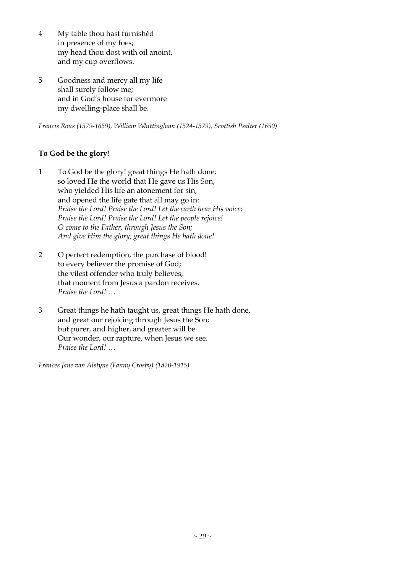- 4 My table thou hast furnishèd in presence of my foes; my head thou dost with oil anoint, and my cup overflows.
- 5 Goodness and mercy all my life shall surely follow me; and in God's house for evermore my dwelling-place shall be.

*Francis Rous (1579-1659), William Whittingham (1524-1579), Scottish Psalter (1650)* 

# **To God be the glory!**

- 1 To God be the glory! great things He hath done; so loved He the world that He gave us His Son, who yielded His life an atonement for sin, and opened the life gate that all may go in:  *Praise the Lord! Praise the Lord! Let the earth hear His voice; Praise the Lord! Praise the Lord! Let the people rejoice! O come to the Father, through Jesus the Son; And give Him the glory; great things He hath done!*
- 2 O perfect redemption, the purchase of blood! to every believer the promise of God; the vilest offender who truly believes, that moment from Jesus a pardon receives.  *Praise the Lord! …*
- 3 Great things he hath taught us, great things He hath done, and great our rejoicing through Jesus the Son; but purer, and higher, and greater will be Our wonder, our rapture, when Jesus we see.  *Praise the Lord! …*

*Frances Jane van Alstyne (Fanny Crosby) (1820-1915)*